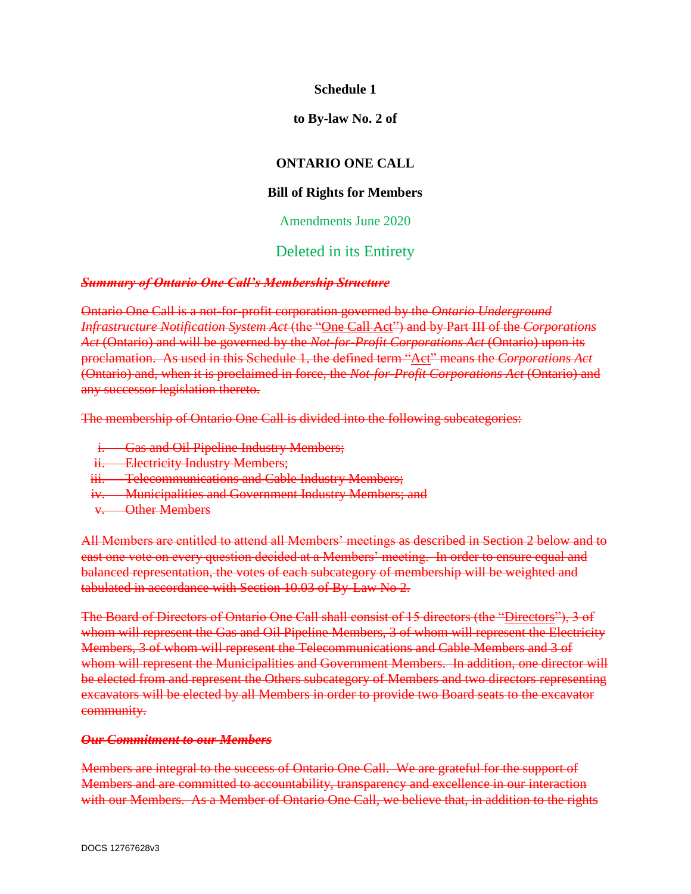## **Schedule 1**

#### **to By-law No. 2 of**

# **ONTARIO ONE CALL**

## **Bill of Rights for Members**

#### Amendments June 2020

# Deleted in its Entirety

#### *Summary of Ontario One Call's Membership Structure*

Ontario One Call is a not-for-profit corporation governed by the *Ontario Underground Infrastructure Notification System Act* (the "One Call Act") and by Part III of the *Corporations Act* (Ontario) and will be governed by the *Not-for-Profit Corporations Act* (Ontario) upon its proclamation. As used in this Schedule 1, the defined term "Act" means the *Corporations Act*  (Ontario) and, when it is proclaimed in force, the *Not-for-Profit Corporations Act* (Ontario) and any successor legislation thereto.

The membership of Ontario One Call is divided into the following subcategories:

- i. Gas and Oil Pipeline Industry Members;
- ii. Electricity Industry Members;
- iii. Telecommunications and Cable Industry Members;
- iv. Municipalities and Government Industry Members; and
- v. Other Members

All Members are entitled to attend all Members' meetings as described in Section 2 below and to cast one vote on every question decided at a Members' meeting. In order to ensure equal and balanced representation, the votes of each subcategory of membership will be weighted and tabulated in accordance with Section 10.03 of By-Law No 2.

The Board of Directors of Ontario One Call shall consist of 15 directors (the "Directors"), 3 of whom will represent the Gas and Oil Pipeline Members, 3 of whom will represent the Electricity Members, 3 of whom will represent the Telecommunications and Cable Members and 3 of whom will represent the Municipalities and Government Members. In addition, one director will be elected from and represent the Others subcategory of Members and two directors representing excavators will be elected by all Members in order to provide two Board seats to the excavator community.

#### *Our Commitment to our Members*

Members are integral to the success of Ontario One Call. We are grateful for the support of Members and are committed to accountability, transparency and excellence in our interaction with our Members. As a Member of Ontario One Call, we believe that, in addition to the rights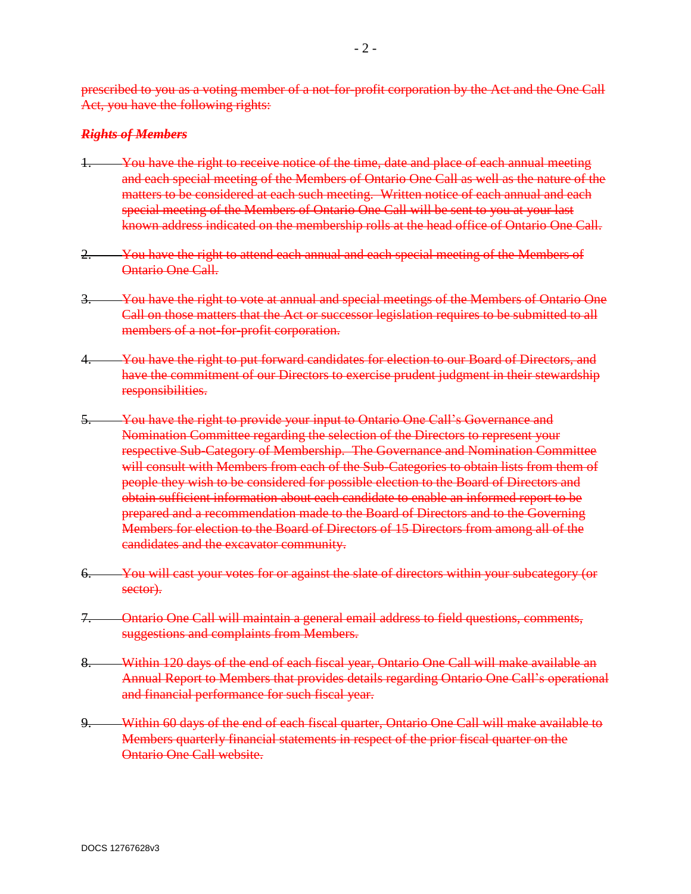prescribed to you as a voting member of a not-for-profit corporation by the Act and the One Call Act, you have the following rights:

#### *Rights of Members*

- You have the right to receive notice of the time, date and place of each annual meeting and each special meeting of the Members of Ontario One Call as well as the nature of the matters to be considered at each such meeting. Written notice of each annual and each special meeting of the Members of Ontario One Call will be sent to you at your last known address indicated on the membership rolls at the head office of Ontario One Call.
- 2. You have the right to attend each annual and each special meeting of the Members of Ontario One Call.
- 3. You have the right to vote at annual and special meetings of the Members of Ontario One Call on those matters that the Act or successor legislation requires to be submitted to all members of a not-for-profit corporation.
- You have the right to put forward candidates for election to our Board of Directors, and have the commitment of our Directors to exercise prudent judgment in their stewardship responsibilities.
- 5. You have the right to provide your input to Ontario One Call's Governance and Nomination Committee regarding the selection of the Directors to represent your respective Sub-Category of Membership. The Governance and Nomination Committee will consult with Members from each of the Sub-Categories to obtain lists from them of people they wish to be considered for possible election to the Board of Directors and obtain sufficient information about each candidate to enable an informed report to be prepared and a recommendation made to the Board of Directors and to the Governing Members for election to the Board of Directors of 15 Directors from among all of the candidates and the excavator community.
- 6. You will cast your votes for or against the slate of directors within your subcategory (or sector).
- 7. Ontario One Call will maintain a general email address to field questions, comments, suggestions and complaints from Members.
- 8. Within 120 days of the end of each fiscal year, Ontario One Call will make available an Annual Report to Members that provides details regarding Ontario One Call's operational and financial performance for such fiscal year.
- 9. Within 60 days of the end of each fiscal quarter, Ontario One Call will make available to Members quarterly financial statements in respect of the prior fiscal quarter on the Ontario One Call website.